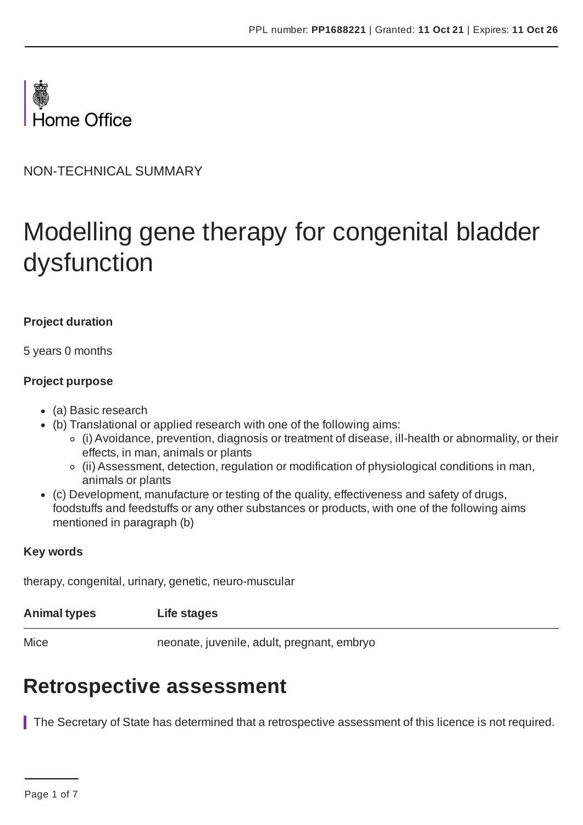

NON-TECHNICAL SUMMARY

# Modelling gene therapy for congenital bladder dysfunction

### **Project duration**

5 years 0 months

#### **Project purpose**

- (a) Basic research
- (b) Translational or applied research with one of the following aims:
	- (i) Avoidance, prevention, diagnosis or treatment of disease, ill-health or abnormality, or their effects, in man, animals or plants
	- (ii) Assessment, detection, regulation or modification of physiological conditions in man, animals or plants
- (c) Development, manufacture or testing of the quality, effectiveness and safety of drugs, foodstuffs and feedstuffs or any other substances or products, with one of the following aims mentioned in paragraph (b)

#### **Key words**

therapy, congenital, urinary, genetic, neuro-muscular

|  | <b>Animal types</b> | Life stages |
|--|---------------------|-------------|
|--|---------------------|-------------|

Mice neonate, juvenile, adult, pregnant, embryo

# **Retrospective assessment**

The Secretary of State has determined that a retrospective assessment of this licence is not required.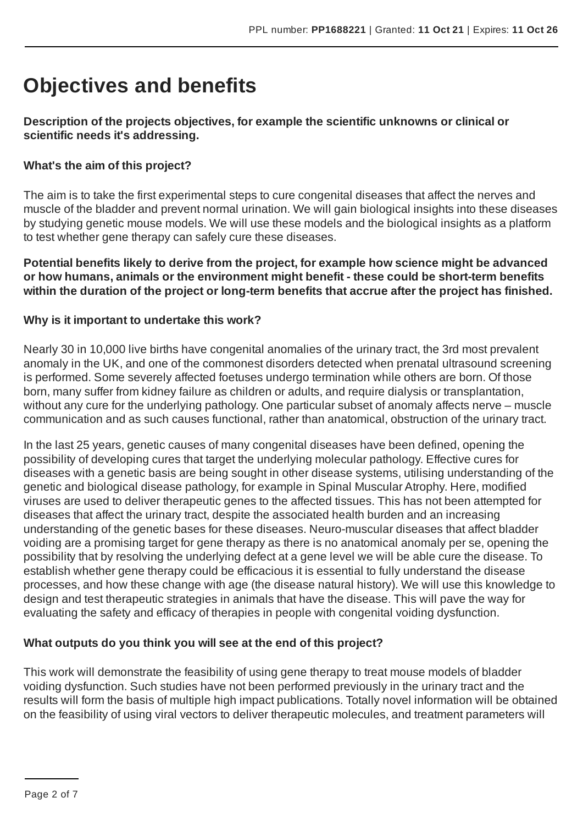# **Objectives and benefits**

# **Description of the projects objectives, for example the scientific unknowns or clinical or scientific needs it's addressing.**

# **What's the aim of this project?**

The aim is to take the first experimental steps to cure congenital diseases that affect the nerves and muscle of the bladder and prevent normal urination. We will gain biological insights into these diseases by studying genetic mouse models. We will use these models and the biological insights as a platform to test whether gene therapy can safely cure these diseases.

#### **Potential benefits likely to derive from the project, for example how science might be advanced or how humans, animals or the environment might benefit - these could be short-term benefits within the duration of the project or long-term benefits that accrue after the project has finished.**

# **Why is it important to undertake this work?**

Nearly 30 in 10,000 live births have congenital anomalies of the urinary tract, the 3rd most prevalent anomaly in the UK, and one of the commonest disorders detected when prenatal ultrasound screening is performed. Some severely affected foetuses undergo termination while others are born. Of those born, many suffer from kidney failure as children or adults, and require dialysis or transplantation, without any cure for the underlying pathology. One particular subset of anomaly affects nerve – muscle communication and as such causes functional, rather than anatomical, obstruction of the urinary tract.

In the last 25 years, genetic causes of many congenital diseases have been defined, opening the possibility of developing cures that target the underlying molecular pathology. Effective cures for diseases with a genetic basis are being sought in other disease systems, utilising understanding of the genetic and biological disease pathology, for example in Spinal Muscular Atrophy. Here, modified viruses are used to deliver therapeutic genes to the affected tissues. This has not been attempted for diseases that affect the urinary tract, despite the associated health burden and an increasing understanding of the genetic bases for these diseases. Neuro-muscular diseases that affect bladder voiding are a promising target for gene therapy as there is no anatomical anomaly per se, opening the possibility that by resolving the underlying defect at a gene level we will be able cure the disease. To establish whether gene therapy could be efficacious it is essential to fully understand the disease processes, and how these change with age (the disease natural history). We will use this knowledge to design and test therapeutic strategies in animals that have the disease. This will pave the way for evaluating the safety and efficacy of therapies in people with congenital voiding dysfunction.

# **What outputs do you think you will see at the end of this project?**

This work will demonstrate the feasibility of using gene therapy to treat mouse models of bladder voiding dysfunction. Such studies have not been performed previously in the urinary tract and the results will form the basis of multiple high impact publications. Totally novel information will be obtained on the feasibility of using viral vectors to deliver therapeutic molecules, and treatment parameters will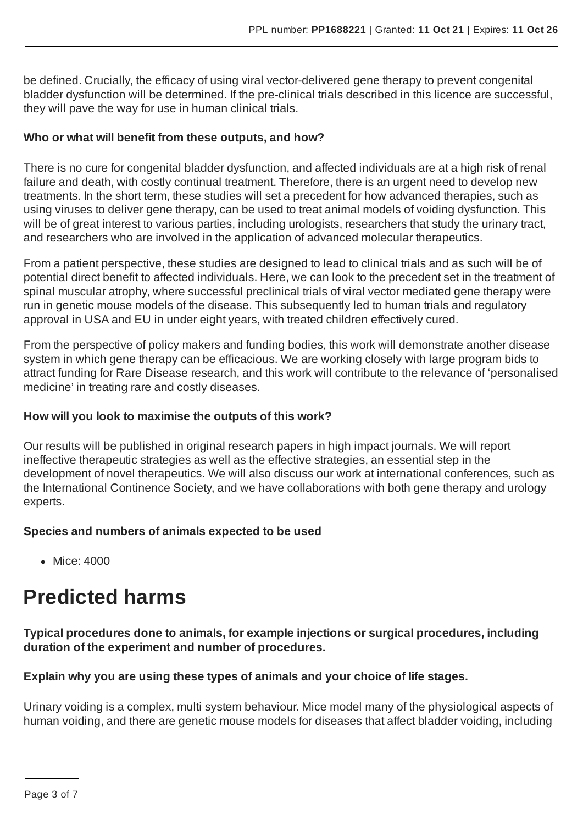be defined. Crucially, the efficacy of using viral vector-delivered gene therapy to prevent congenital bladder dysfunction will be determined. If the pre-clinical trials described in this licence are successful, they will pave the way for use in human clinical trials.

### **Who or what will benefit from these outputs, and how?**

There is no cure for congenital bladder dysfunction, and affected individuals are at a high risk of renal failure and death, with costly continual treatment. Therefore, there is an urgent need to develop new treatments. In the short term, these studies will set a precedent for how advanced therapies, such as using viruses to deliver gene therapy, can be used to treat animal models of voiding dysfunction. This will be of great interest to various parties, including urologists, researchers that study the urinary tract, and researchers who are involved in the application of advanced molecular therapeutics.

From a patient perspective, these studies are designed to lead to clinical trials and as such will be of potential direct benefit to affected individuals. Here, we can look to the precedent set in the treatment of spinal muscular atrophy, where successful preclinical trials of viral vector mediated gene therapy were run in genetic mouse models of the disease. This subsequently led to human trials and regulatory approval in USA and EU in under eight years, with treated children effectively cured.

From the perspective of policy makers and funding bodies, this work will demonstrate another disease system in which gene therapy can be efficacious. We are working closely with large program bids to attract funding for Rare Disease research, and this work will contribute to the relevance of 'personalised medicine' in treating rare and costly diseases.

# **How will you look to maximise the outputs of this work?**

Our results will be published in original research papers in high impact journals. We will report ineffective therapeutic strategies as well as the effective strategies, an essential step in the development of novel therapeutics. We will also discuss our work at international conferences, such as the International Continence Society, and we have collaborations with both gene therapy and urology experts.

# **Species and numbers of animals expected to be used**

• Mice: 4000

# **Predicted harms**

# **Typical procedures done to animals, for example injections or surgical procedures, including duration of the experiment and number of procedures.**

# **Explain why you are using these types of animals and your choice of life stages.**

Urinary voiding is a complex, multi system behaviour. Mice model many of the physiological aspects of human voiding, and there are genetic mouse models for diseases that affect bladder voiding, including

Page 3 of 7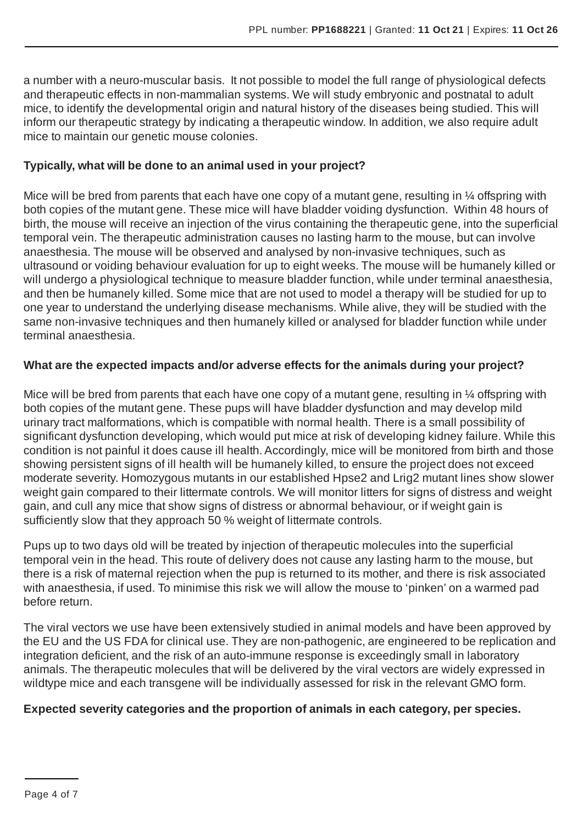a number with a neuro-muscular basis. It not possible to model the full range of physiological defects and therapeutic effects in non-mammalian systems. We will study embryonic and postnatal to adult mice, to identify the developmental origin and natural history of the diseases being studied. This will inform our therapeutic strategy by indicating a therapeutic window. In addition, we also require adult mice to maintain our genetic mouse colonies.

# **Typically, what will be done to an animal used in your project?**

Mice will be bred from parents that each have one copy of a mutant gene, resulting in  $\frac{1}{4}$  offspring with both copies of the mutant gene. These mice will have bladder voiding dysfunction. Within 48 hours of birth, the mouse will receive an injection of the virus containing the therapeutic gene, into the superficial temporal vein. The therapeutic administration causes no lasting harm to the mouse, but can involve anaesthesia. The mouse will be observed and analysed by non-invasive techniques, such as ultrasound or voiding behaviour evaluation for up to eight weeks. The mouse will be humanely killed or will undergo a physiological technique to measure bladder function, while under terminal anaesthesia, and then be humanely killed. Some mice that are not used to model a therapy will be studied for up to one year to understand the underlying disease mechanisms. While alive, they will be studied with the same non-invasive techniques and then humanely killed or analysed for bladder function while under terminal anaesthesia.

# **What are the expected impacts and/or adverse effects for the animals during your project?**

Mice will be bred from parents that each have one copy of a mutant gene, resulting in 1/4 offspring with both copies of the mutant gene. These pups will have bladder dysfunction and may develop mild urinary tract malformations, which is compatible with normal health. There is a small possibility of significant dysfunction developing, which would put mice at risk of developing kidney failure. While this condition is not painful it does cause ill health.Accordingly, mice will be monitored from birth and those showing persistent signs of ill health will be humanely killed, to ensure the project does not exceed moderate severity. Homozygous mutants in our established Hpse2 and Lrig2 mutant lines show slower weight gain compared to their littermate controls. We will monitor litters for signs of distress and weight gain, and cull any mice that show signs of distress or abnormal behaviour, or if weight gain is sufficiently slow that they approach 50 % weight of littermate controls.

Pups up to two days old will be treated by injection of therapeutic molecules into the superficial temporal vein in the head. This route of delivery does not cause any lasting harm to the mouse, but there is a risk of maternal rejection when the pup is returned to its mother, and there is risk associated with anaesthesia, if used. To minimise this risk we will allow the mouse to 'pinken' on a warmed pad before return.

The viral vectors we use have been extensively studied in animal models and have been approved by the EU and the US FDA for clinical use. They are non-pathogenic, are engineered to be replication and integration deficient, and the risk of an auto-immune response is exceedingly small in laboratory animals. The therapeutic molecules that will be delivered by the viral vectors are widely expressed in wildtype mice and each transgene will be individually assessed for risk in the relevant GMO form.

#### **Expected severity categories and the proportion of animals in each category, per species.**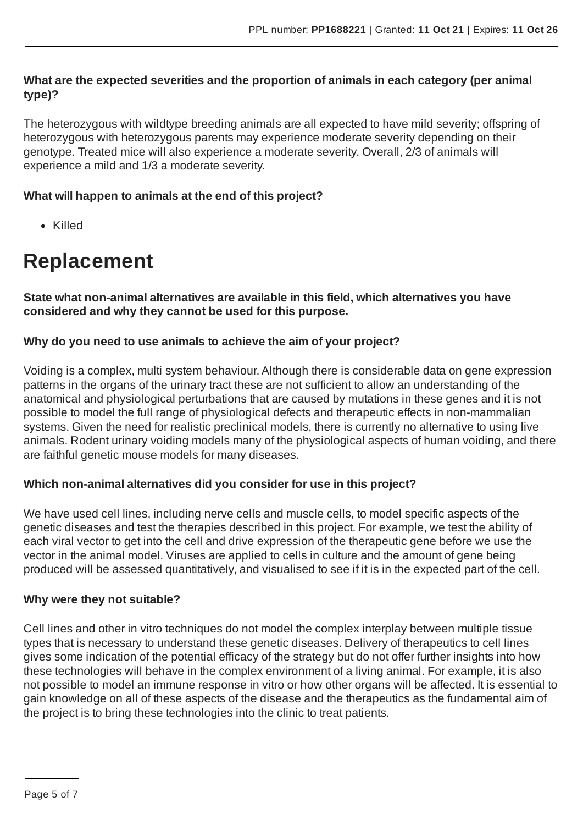# **What are the expected severities and the proportion of animals in each category (per animal type)?**

The heterozygous with wildtype breeding animals are all expected to have mild severity; offspring of heterozygous with heterozygous parents may experience moderate severity depending on their genotype. Treated mice will also experience a moderate severity. Overall, 2/3 of animals will experience a mild and 1/3 a moderate severity.

# **What will happen to animals at the end of this project?**

Killed

# **Replacement**

**State what non-animal alternatives are available in this field, which alternatives you have considered and why they cannot be used for this purpose.**

### **Why do you need to use animals to achieve the aim of your project?**

Voiding is a complex, multi system behaviour.Although there is considerable data on gene expression patterns in the organs of the urinary tract these are not sufficient to allow an understanding of the anatomical and physiological perturbations that are caused by mutations in these genes and it is not possible to model the full range of physiological defects and therapeutic effects in non-mammalian systems. Given the need for realistic preclinical models, there is currently no alternative to using live animals. Rodent urinary voiding models many of the physiological aspects of human voiding, and there are faithful genetic mouse models for many diseases.

#### **Which non-animal alternatives did you consider for use in this project?**

We have used cell lines, including nerve cells and muscle cells, to model specific aspects of the genetic diseases and test the therapies described in this project. For example, we test the ability of each viral vector to get into the cell and drive expression of the therapeutic gene before we use the vector in the animal model. Viruses are applied to cells in culture and the amount of gene being produced will be assessed quantitatively, and visualised to see if it is in the expected part of the cell.

#### **Why were they not suitable?**

Cell lines and other in vitro techniques do not model the complex interplay between multiple tissue types that is necessary to understand these genetic diseases. Delivery of therapeutics to cell lines gives some indication of the potential efficacy of the strategy but do not offer further insights into how these technologies will behave in the complex environment of a living animal. For example, it is also not possible to model an immune response in vitro or how other organs will be affected. It is essential to gain knowledge on all of these aspects of the disease and the therapeutics as the fundamental aim of the project is to bring these technologies into the clinic to treat patients.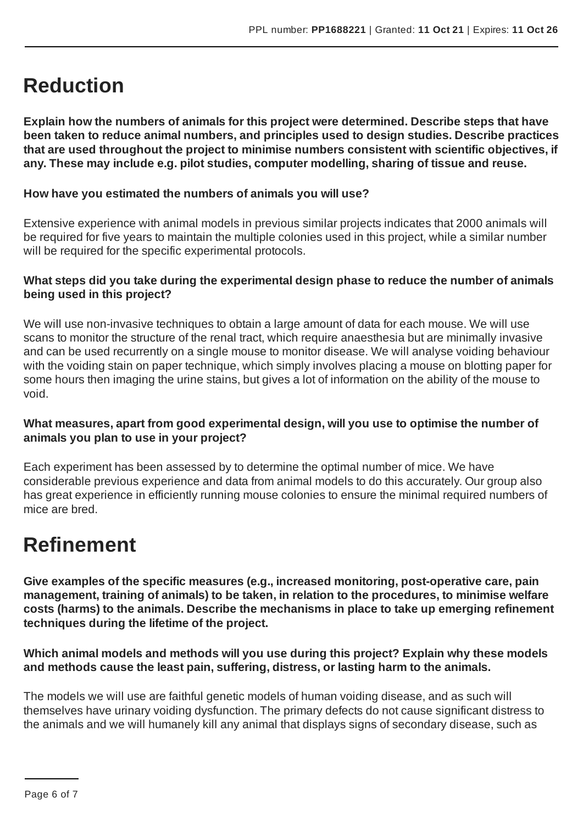# **Reduction**

**Explain how the numbers of animals for this project were determined. Describe steps that have been taken to reduce animal numbers, and principles used to design studies. Describe practices that are used throughout the project to minimise numbers consistent with scientific objectives, if any. These may include e.g. pilot studies, computer modelling, sharing of tissue and reuse.**

# **How have you estimated the numbers of animals you will use?**

Extensive experience with animal models in previous similar projects indicates that 2000 animals will be required for five years to maintain the multiple colonies used in this project, while a similar number will be required for the specific experimental protocols.

# **What steps did you take during the experimental design phase to reduce the number of animals being used in this project?**

We will use non-invasive techniques to obtain a large amount of data for each mouse. We will use scans to monitor the structure of the renal tract, which require anaesthesia but are minimally invasive and can be used recurrently on a single mouse to monitor disease. We will analyse voiding behaviour with the voiding stain on paper technique, which simply involves placing a mouse on blotting paper for some hours then imaging the urine stains, but gives a lot of information on the ability of the mouse to void.

# **What measures, apart from good experimental design, will you use to optimise the number of animals you plan to use in your project?**

Each experiment has been assessed by to determine the optimal number of mice. We have considerable previous experience and data from animal models to do this accurately. Our group also has great experience in efficiently running mouse colonies to ensure the minimal required numbers of mice are bred.

# **Refinement**

**Give examples of the specific measures (e.g., increased monitoring, post-operative care, pain management, training of animals) to be taken, in relation to the procedures, to minimise welfare costs (harms) to the animals. Describe the mechanisms in place to take up emerging refinement techniques during the lifetime of the project.**

**Which animal models and methods will you use during this project? Explain why these models and methods cause the least pain, suffering, distress, or lasting harm to the animals.**

The models we will use are faithful genetic models of human voiding disease, and as such will themselves have urinary voiding dysfunction. The primary defects do not cause significant distress to the animals and we will humanely kill any animal that displays signs of secondary disease, such as

Page 6 of 7